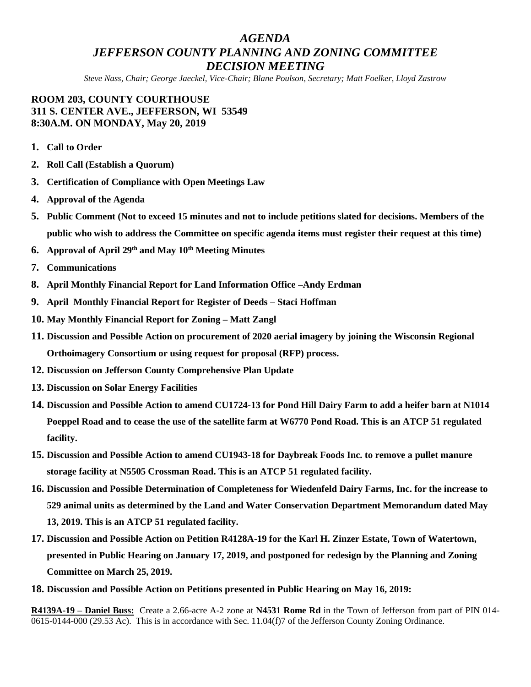# *AGENDA JEFFERSON COUNTY PLANNING AND ZONING COMMITTEE DECISION MEETING*

*Steve Nass, Chair; George Jaeckel, Vice-Chair; Blane Poulson, Secretary; Matt Foelker, Lloyd Zastrow*

## **ROOM 203, COUNTY COURTHOUSE 311 S. CENTER AVE., JEFFERSON, WI 53549 8:30A.M. ON MONDAY, May 20, 2019**

- **1. Call to Order**
- **2. Roll Call (Establish a Quorum)**
- **3. Certification of Compliance with Open Meetings Law**
- **4. Approval of the Agenda**
- **5. Public Comment (Not to exceed 15 minutes and not to include petitions slated for decisions. Members of the public who wish to address the Committee on specific agenda items must register their request at this time)**
- **6. Approval of April 29th and May 10th Meeting Minutes**
- **7. Communications**
- **8. April Monthly Financial Report for Land Information Office –Andy Erdman**
- **9. April Monthly Financial Report for Register of Deeds – Staci Hoffman**
- **10. May Monthly Financial Report for Zoning – Matt Zangl**
- **11. Discussion and Possible Action on procurement of 2020 aerial imagery by joining the Wisconsin Regional Orthoimagery Consortium or using request for proposal (RFP) process.**
- **12. Discussion on Jefferson County Comprehensive Plan Update**
- **13. Discussion on Solar Energy Facilities**
- **14. Discussion and Possible Action to amend CU1724-13 for Pond Hill Dairy Farm to add a heifer barn at N1014 Poeppel Road and to cease the use of the satellite farm at W6770 Pond Road. This is an ATCP 51 regulated facility.**
- **15. Discussion and Possible Action to amend CU1943-18 for Daybreak Foods Inc. to remove a pullet manure storage facility at N5505 Crossman Road. This is an ATCP 51 regulated facility.**
- **16. Discussion and Possible Determination of Completeness for Wiedenfeld Dairy Farms, Inc. for the increase to 529 animal units as determined by the Land and Water Conservation Department Memorandum dated May 13, 2019. This is an ATCP 51 regulated facility.**
- **17. Discussion and Possible Action on Petition R4128A-19 for the Karl H. Zinzer Estate, Town of Watertown, presented in Public Hearing on January 17, 2019, and postponed for redesign by the Planning and Zoning Committee on March 25, 2019.**
- **18. Discussion and Possible Action on Petitions presented in Public Hearing on May 16, 2019:**

**R4139A-19 – Daniel Buss:** Create a 2.66-acre A-2 zone at **N4531 Rome Rd** in the Town of Jefferson from part of PIN 014- 0615-0144-000 (29.53 Ac). This is in accordance with Sec. 11.04(f)7 of the Jefferson County Zoning Ordinance.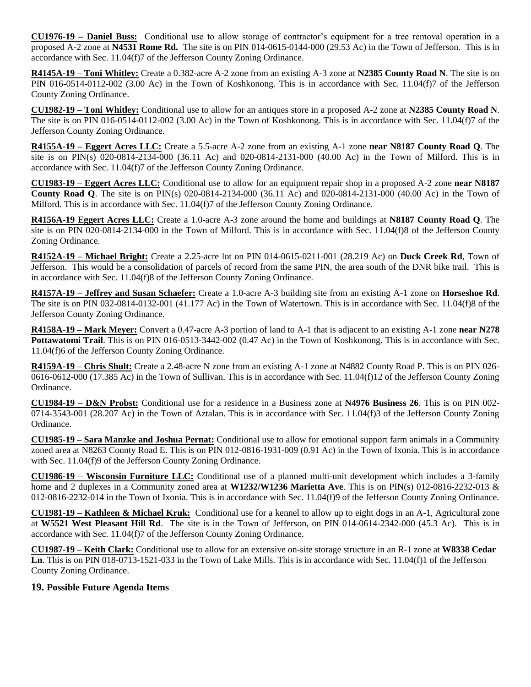**CU1976-19 – Daniel Buss:** Conditional use to allow storage of contractor's equipment for a tree removal operation in a proposed A-2 zone at **N4531 Rome Rd.** The site is on PIN 014-0615-0144-000 (29.53 Ac) in the Town of Jefferson. This is in accordance with Sec. 11.04(f)7 of the Jefferson County Zoning Ordinance.

**R4145A-19 – Toni Whitley:** Create a 0.382-acre A-2 zone from an existing A-3 zone at **N2385 County Road N**. The site is on PIN 016-0514-0112-002 (3.00 Ac) in the Town of Koshkonong. This is in accordance with Sec. 11.04(f)7 of the Jefferson County Zoning Ordinance.

**CU1982-19 – Toni Whitley:** Conditional use to allow for an antiques store in a proposed A-2 zone at **N2385 County Road N**. The site is on PIN 016-0514-0112-002 (3.00 Ac) in the Town of Koshkonong. This is in accordance with Sec. 11.04(f)7 of the Jefferson County Zoning Ordinance.

**R4155A-19 – Eggert Acres LLC:** Create a 5.5-acre A-2 zone from an existing A-1 zone **near N8187 County Road Q**. The site is on PIN(s) 020-0814-2134-000 (36.11 Ac) and 020-0814-2131-000 (40.00 Ac) in the Town of Milford. This is in accordance with Sec. 11.04(f)7 of the Jefferson County Zoning Ordinance.

**CU1983-19 – Eggert Acres LLC:** Conditional use to allow for an equipment repair shop in a proposed A-2 zone **near N8187 County Road Q**. The site is on PIN(s) 020-0814-2134-000 (36.11 Ac) and 020-0814-2131-000 (40.00 Ac) in the Town of Milford. This is in accordance with Sec. 11.04(f)7 of the Jefferson County Zoning Ordinance.

**R4156A-19 Eggert Acres LLC:** Create a 1.0-acre A-3 zone around the home and buildings at **N8187 County Road Q**. The site is on PIN 020-0814-2134-000 in the Town of Milford. This is in accordance with Sec. 11.04(f)8 of the Jefferson County Zoning Ordinance.

**R4152A-19 – Michael Bright:** Create a 2.25-acre lot on PIN 014-0615-0211-001 (28.219 Ac) on **Duck Creek Rd**, Town of Jefferson. This would be a consolidation of parcels of record from the same PIN, the area south of the DNR bike trail. This is in accordance with Sec. 11.04(f)8 of the Jefferson County Zoning Ordinance.

**R4157A-19 – Jeffrey and Susan Schaefer:** Create a 1.0-acre A-3 building site from an existing A-1 zone on **Horseshoe Rd**. The site is on PIN 032-0814-0132-001 (41.177 Ac) in the Town of Watertown. This is in accordance with Sec. 11.04(f)8 of the Jefferson County Zoning Ordinance.

**R4158A-19 – Mark Meyer:** Convert a 0.47-acre A-3 portion of land to A-1 that is adjacent to an existing A-1 zone **near N278 Pottawatomi Trail**. This is on PIN 016-0513-3442-002 (0.47 Ac) in the Town of Koshkonong. This is in accordance with Sec. 11.04(f)6 of the Jefferson County Zoning Ordinance.

**R4159A-19 – Chris Shult:** Create a 2.48-acre N zone from an existing A-1 zone at N4882 County Road P. This is on PIN 026- 0616-0612-000 (17.385 Ac) in the Town of Sullivan. This is in accordance with Sec. 11.04(f)12 of the Jefferson County Zoning Ordinance.

**CU1984-19 – D&N Probst:** Conditional use for a residence in a Business zone at **N4976 Business 26**. This is on PIN 002- 0714-3543-001 (28.207 Ac) in the Town of Aztalan. This is in accordance with Sec. 11.04(f)3 of the Jefferson County Zoning Ordinance.

**CU1985-19 – Sara Manzke and Joshua Pernat:** Conditional use to allow for emotional support farm animals in a Community zoned area at N8263 County Road E. This is on PIN 012-0816-1931-009 (0.91 Ac) in the Town of Ixonia. This is in accordance with Sec. 11.04(f)9 of the Jefferson County Zoning Ordinance.

**CU1986-19 – Wisconsin Furniture LLC:** Conditional use of a planned multi-unit development which includes a 3-family home and 2 duplexes in a Community zoned area at **W1232/W1236 Marietta Ave**. This is on PIN(s) 012-0816-2232-013 & 012-0816-2232-014 in the Town of Ixonia. This is in accordance with Sec. 11.04(f)9 of the Jefferson County Zoning Ordinance.

**CU1981-19 – Kathleen & Michael Kruk:** Conditional use for a kennel to allow up to eight dogs in an A-1, Agricultural zone at **W5521 West Pleasant Hill Rd**. The site is in the Town of Jefferson, on PIN 014-0614-2342-000 (45.3 Ac). This is in accordance with Sec. 11.04(f)7 of the Jefferson County Zoning Ordinance.

**CU1987-19 – Keith Clark:** Conditional use to allow for an extensive on-site storage structure in an R-1 zone at **W8338 Cedar Ln**. This is on PIN 018-0713-1521-033 in the Town of Lake Mills. This is in accordance with Sec. 11.04(f)1 of the Jefferson County Zoning Ordinance.

### **19. Possible Future Agenda Items**